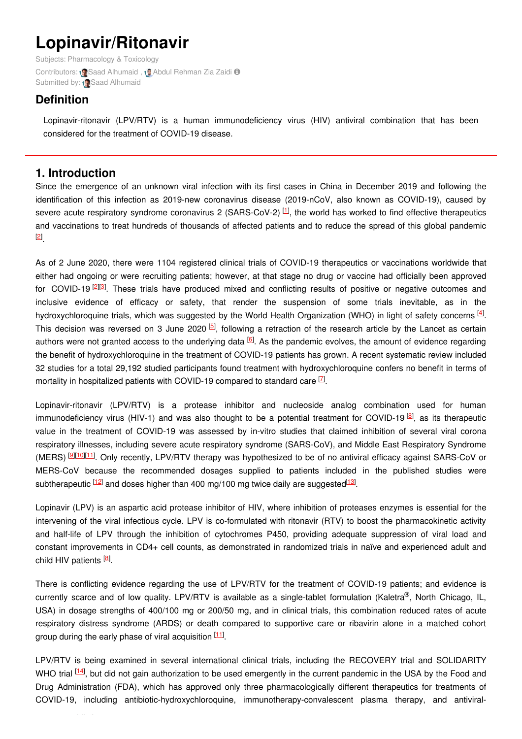# **Lopinavir/Ritonavir**

Subjects: [Pharmacology](https://encyclopedia.pub/item/subject/75) & Toxicology Contributors: (Saad [Alhumaid](https://sciprofiles.com/profile/1264663), (Abdul [Rehman](https://sciprofiles.com/profile/1227004) Zia Zaidi O Submitted by: (Saad [Alhumaid](https://sciprofiles.com/profile/1264663)

# **Definition**

Lopinavir-ritonavir (LPV/RTV) is a human immunodeficiency virus (HIV) antiviral combination that has been considered for the treatment of COVID-19 disease.

## **1. Introduction**

Since the emergence of an unknown viral infection with its first cases in China in December 2019 and following the identification of this infection as 2019-new coronavirus disease (2019-nCoV, also known as COVID-19), caused by severe acute respiratory syndrome coronavirus 2 (SARS-CoV-2)  $^{[1]}$  $^{[1]}$  $^{[1]}$ , the world has worked to find effective therapeutics and vaccinations to treat hundreds of thousands of affected patients and to reduce the spread of this global pandemic . [\[2](#page-2-1)]

As of 2 June 2020, there were 1104 registered clinical trials of COVID-19 therapeutics or vaccinations worldwide that either had ongoing or were recruiting patients; however, at that stage no drug or vaccine had officially been approved for COVID-19<sup>[\[2](#page-2-1)][\[3](#page-2-2)]</sup>. These trials have produced mixed and conflicting results of positive or negative outcomes and inclusive evidence of efficacy or safety, that render the suspension of some trials inevitable, as in the hydroxychloroquine trials, which was suggested by the World Health Organization (WHO) in light of safety concerns  $^{[4]}$  $^{[4]}$  $^{[4]}$ . This decision was reversed on 3 June 2020  $[5]$  $[5]$ , following a retraction of the research article by the Lancet as certain authors were not granted access to the underlying data <sup>[[6](#page-2-5)]</sup>. As the pandemic evolves, the amount of evidence regarding the benefit of hydroxychloroquine in the treatment of COVID-19 patients has grown. A recent systematic review included 32 studies for a total 29,192 studied participants found treatment with hydroxychloroquine confers no benefit in terms of mortality in hospitalized patients with COVID-19 compared to standard care  $^{\boxtimes}$ .

Lopinavir-ritonavir (LPV/RTV) is a protease inhibitor and nucleoside analog combination used for human immunodeficiency virus (HIV-1) and was also thought to be a potential treatment for COVID-19<sup>[\[8](#page-2-7)]</sup>, as its therapeutic value in the treatment of COVID-19 was assessed by in-vitro studies that claimed inhibition of several viral corona respiratory illnesses, including severe acute respiratory syndrome (SARS-CoV), and Middle East Respiratory Syndrome (MERS) <sup>[[9](#page-2-8)][\[10](#page-2-9)][\[11](#page-2-10)]</sup>. Only recently, LPV/RTV therapy was hypothesized to be of no antiviral efficacy against SARS-CoV or MERS-CoV because the recommended dosages supplied to patients included in the published studies were subtherapeutic <sup>[\[12](#page-3-0)]</sup> and doses higher than 400 mg/100 mg twice daily are suggested<sup>[\[13](#page-3-1)]</sup>.

Lopinavir (LPV) is an aspartic acid protease inhibitor of HIV, where inhibition of proteases enzymes is essential for the intervening of the viral infectious cycle. LPV is co-formulated with ritonavir (RTV) to boost the pharmacokinetic activity and half-life of LPV through the inhibition of cytochromes P450, providing adequate suppression of viral load and constant improvements in CD4+ cell counts, as demonstrated in randomized trials in naïve and experienced adult and child HIV patients <sup>[\[8](#page-2-7)]</sup>.

There is conflicting evidence regarding the use of LPV/RTV for the treatment of COVID-19 patients; and evidence is currently scarce and of low quality. LPV/RTV is available as a single-tablet formulation (Kaletra®, North Chicago, IL, USA) in dosage strengths of 400/100 mg or 200/50 mg, and in clinical trials, this combination reduced rates of acute respiratory distress syndrome (ARDS) or death compared to supportive care or ribavirin alone in a matched cohort group during the early phase of viral acquisition [\[11](#page-2-10)].

LPV/RTV is being examined in several international clinical trials, including the RECOVERY trial and SOLIDARITY WHO trial <sup>[\[14](#page-3-2)]</sup>, but did not gain authorization to be used emergently in the current pandemic in the USA by the Food and Drug Administration (FDA), which has approved only three pharmacologically different therapeutics for treatments of COVID-19, including antibiotic-hydroxychloroquine, immunotherapy-convalescent plasma therapy, and antiviral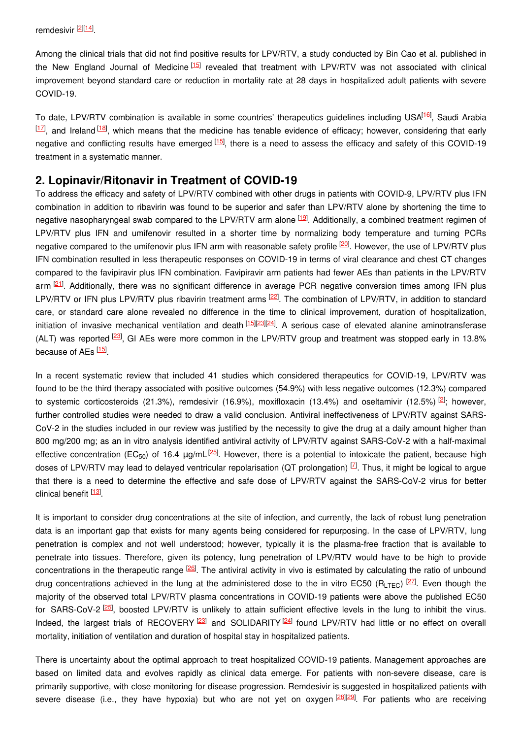Among the clinical trials that did not find positive results for LPV/RTV, a study conducted by Bin Cao et al. published in the New England Journal of Medicine<sup>[\[15](#page-3-3)]</sup> revealed that treatment with LPV/RTV was not associated with clinical improvement beyond standard care or reduction in mortality rate at 28 days in hospitalized adult patients with severe COVID-19.

To date, LPV/RTV combination is available in some countries' therapeutics guidelines including USA<sup>[\[16](#page-3-4)]</sup>, Saudi Arabia  $[17]$  $[17]$ , and Ireland  $[18]$  $[18]$ , which means that the medicine has tenable evidence of efficacy; however, considering that early negative and conflicting results have emerged  $^{[15]}$  $^{[15]}$  $^{[15]}$ , there is a need to assess the efficacy and safety of this COVID-19 treatment in a systematic manner.

## **2. Lopinavir/Ritonavir in Treatment of COVID-19**

To address the efficacy and safety of LPV/RTV combined with other drugs in patients with COVID-9, LPV/RTV plus IFN combination in addition to ribavirin was found to be superior and safer than LPV/RTV alone by shortening the time to negative nasopharyngeal swab compared to the LPV/RTV arm alone <sup>[\[19](#page-3-7)]</sup>. Additionally, a combined treatment regimen of LPV/RTV plus IFN and umifenovir resulted in a shorter time by normalizing body temperature and turning PCRs negative compared to the umifenovir plus IFN arm with reasonable safety profile <sup>[\[20](#page-3-8)]</sup>. However, the use of LPV/RTV plus IFN combination resulted in less therapeutic responses on COVID-19 in terms of viral clearance and chest CT changes compared to the favipiravir plus IFN combination. Favipiravir arm patients had fewer AEs than patients in the LPV/RTV arm <sup>[\[21](#page-3-9)]</sup>. Additionally, there was no significant difference in average PCR negative conversion times among IFN plus LPV/RTV or IFN plus LPV/RTV plus ribavirin treatment arms <sup>[\[22](#page-3-10)]</sup>. The combination of LPV/RTV, in addition to standard care, or standard care alone revealed no difference in the time to clinical improvement, duration of hospitalization, initiation of invasive mechanical ventilation and death [\[15](#page-3-3)|23|24]. A serious case of elevated alanine aminotransferase (ALT) was reported <sup>[\[23](#page-3-11)]</sup>, GI AEs were more common in the LPV/RTV group and treatment was stopped early in 13.8% because of AEs [\[15](#page-3-3)].

In a recent systematic review that included 41 studies which considered therapeutics for COVID-19, LPV/RTV was found to be the third therapy associated with positive outcomes (54.9%) with less negative outcomes (12.3%) compared to systemic corticosteroids (21.3%), remdesivir (16.9%), moxifloxacin (13.4%) and oseltamivir (12.5%) <sup>[\[2](#page-2-1)]</sup>; however, further controlled studies were needed to draw a valid conclusion. Antiviral ineffectiveness of LPV/RTV against SARS-CoV-2 in the studies included in our review was justified by the necessity to give the drug at a daily amount higher than 800 mg/200 mg; as an in vitro analysis identified antiviral activity of LPV/RTV against SARS-CoV-2 with a half-maximal effective concentration (EC<sub>50</sub>) of 16.4 μg/mL<sup>[\[25](#page-3-13)]</sup>. However, there is a potential to intoxicate the patient, because high doses of LPV/RTV may lead to delayed ventricular repolarisation (QT prolongation)  $Z$ . Thus, it might be logical to argue that there is a need to determine the effective and safe dose of LPV/RTV against the SARS-CoV-2 virus for better clinical benefit [\[13](#page-3-1)]

It is important to consider drug concentrations at the site of infection, and currently, the lack of robust lung penetration data is an important gap that exists for many agents being considered for repurposing. In the case of LPV/RTV, lung penetration is complex and not well understood; however, typically it is the plasma-free fraction that is available to penetrate into tissues. Therefore, given its potency, lung penetration of LPV/RTV would have to be high to provide concentrations in the therapeutic range <sup>[\[26](#page-3-14)]</sup>. The antiviral activity in vivo is estimated by calculating the ratio of unbound drug concentrations achieved in the lung at the administered dose to the in vitro EC50 (RLTEC)  $[27]$  $[27]$ . Even though the majority of the observed total LPV/RTV plasma concentrations in COVID-19 patients were above the published EC50 for SARS-CoV-2<sup>[\[25](#page-3-13)]</sup>, boosted LPV/RTV is unlikely to attain sufficient effective levels in the lung to inhibit the virus. Indeed, the largest trials of RECOVERY<sup>[\[23](#page-3-11)]</sup> and SOLIDARITY<sup>[\[24](#page-3-12)]</sup> found LPV/RTV had little or no effect on overall mortality, initiation of ventilation and duration of hospital stay in hospitalized patients.

There is uncertainty about the optimal approach to treat hospitalized COVID-19 patients. Management approaches are based on limited data and evolves rapidly as clinical data emerge. For patients with non-severe disease, care is primarily supportive, with close monitoring for disease progression. Remdesivir is suggested in hospitalized patients with severe disease (i.e., they have hypoxia) but who are not yet on oxygen <sup>[\[28](#page-3-16)][\[29](#page-3-17)]</sup>. For patients who are receiving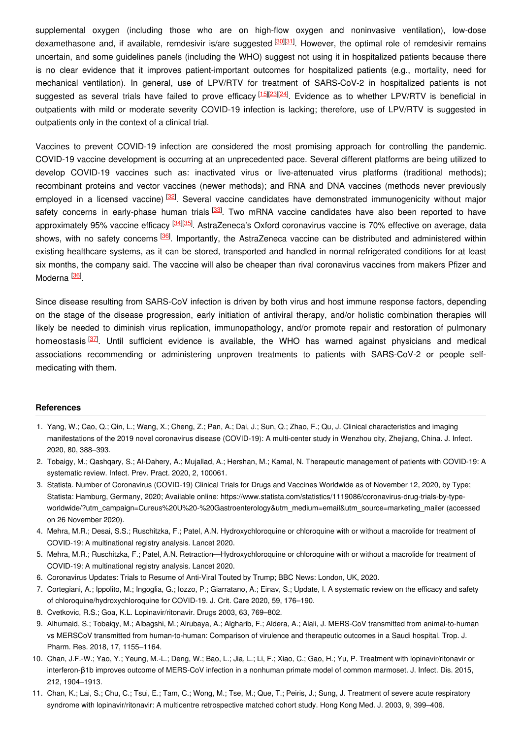supplemental oxygen (including those who are on high-flow oxygen and noninvasive ventilation), low-dose dexamethasone and, if available, remdesivir is/are suggested <sup>[\[30](#page-3-18)][\[31](#page-3-19)]</sup>. However, the optimal role of remdesivir remains uncertain, and some guidelines panels (including the WHO) suggest not using it in hospitalized patients because there is no clear evidence that it improves patient-important outcomes for hospitalized patients (e.g., mortality, need for mechanical ventilation). In general, use of LPV/RTV for treatment of SARS-CoV-2 in hospitalized patients is not suggested as several trials have failed to prove efficacy [\[15](#page-3-3)][[23](#page-3-11)][\[24](#page-3-12)]. Evidence as to whether LPV/RTV is beneficial in outpatients with mild or moderate severity COVID-19 infection is lacking; therefore, use of LPV/RTV is suggested in outpatients only in the context of a clinical trial.

Vaccines to prevent COVID-19 infection are considered the most promising approach for controlling the pandemic. COVID-19 vaccine development is occurring at an unprecedented pace. Several different platforms are being utilized to develop COVID-19 vaccines such as: inactivated virus or live-attenuated virus platforms (traditional methods); recombinant proteins and vector vaccines (newer methods); and RNA and DNA vaccines (methods never previously employed in a licensed vaccine) <sup>[\[32](#page-3-20)]</sup>. Several vaccine candidates have demonstrated immunogenicity without major safety concerns in early-phase human trials <sup>[\[33](#page-3-21)]</sup>. Two mRNA vaccine candidates have also been reported to have approximately 95% vaccine efficacy <sup>[\[34](#page-3-22)][\[35](#page-3-23)]</sup>. AstraZeneca's Oxford coronavirus vaccine is 70% effective on average, data shows, with no safety concerns <sup>[\[36](#page-3-24)]</sup>. Importantly, the AstraZeneca vaccine can be distributed and administered within existing healthcare systems, as it can be stored, transported and handled in normal refrigerated conditions for at least six months, the company said. The vaccine will also be cheaper than rival coronavirus vaccines from makers Pfizer and Moderna <sup>[\[36](#page-3-24)]</sup>.

Since disease resulting from SARS-CoV infection is driven by both virus and host immune response factors, depending on the stage of the disease progression, early initiation of antiviral therapy, and/or holistic combination therapies will likely be needed to diminish virus replication, immunopathology, and/or promote repair and restoration of pulmonary homeostasis <sup>[\[37](#page-3-25)]</sup>. Until sufficient evidence is available, the WHO has warned against physicians and medical associations recommending or administering unproven treatments to patients with SARS-CoV-2 or people selfmedicating with them.

#### **References**

- <span id="page-2-0"></span>1. Yang, W.; Cao, Q.; Qin, L.; Wang, X.; Cheng, Z.; Pan, A.; Dai, J.; Sun, Q.; Zhao, F.; Qu, J. Clinical characteristics and imaging manifestations of the 2019 novel coronavirus disease (COVID-19): A multi-center study in Wenzhou city, Zhejiang, China. J. Infect. 2020, 80, 388–393.
- <span id="page-2-1"></span>2. Tobaigy, M.; Qashqary, S.; Al-Dahery, A.; Mujallad, A.; Hershan, M.; Kamal, N. Therapeutic management of patients with COVID-19: A systematic review. Infect. Prev. Pract. 2020, 2, 100061.
- <span id="page-2-2"></span>3. Statista. Number of Coronavirus (COVID-19) Clinical Trials for Drugs and Vaccines Worldwide as of November 12, 2020, by Type; Statista: Hamburg, Germany, 2020; Available online: https://www.statista.com/statistics/1119086/coronavirus-drug-trials-by-typeworldwide/?utm\_campaign=Cureus%20U%20-%20Gastroenterology&utm\_medium=email&utm\_source=marketing\_mailer (accessed on 26 November 2020).
- <span id="page-2-3"></span>4. Mehra, M.R.; Desai, S.S.; Ruschitzka, F.; Patel, A.N. Hydroxychloroquine or chloroquine with or without a macrolide for treatment of COVID-19: A multinational registry analysis. Lancet 2020.
- <span id="page-2-4"></span>5. Mehra, M.R.; Ruschitzka, F.; Patel, A.N. Retraction—Hydroxychloroquine or chloroquine with or without a macrolide for treatment of COVID-19: A multinational registry analysis. Lancet 2020.
- <span id="page-2-5"></span>6. Coronavirus Updates: Trials to Resume of Anti-Viral Touted by Trump; BBC News: London, UK, 2020.
- <span id="page-2-6"></span>7. Cortegiani, A.; Ippolito, M.; Ingoglia, G.; Iozzo, P.; Giarratano, A.; Einav, S.; Update, I. A systematic review on the efficacy and safety of chloroquine/hydroxychloroquine for COVID-19. J. Crit. Care 2020, 59, 176–190.
- <span id="page-2-7"></span>8. Cvetkovic, R.S.; Goa, K.L. Lopinavir/ritonavir. Drugs 2003, 63, 769–802.
- <span id="page-2-8"></span>9. Alhumaid, S.; Tobaiqy, M.; Albagshi, M.; Alrubaya, A.; Algharib, F.; Aldera, A.; Alali, J. MERS-CoV transmitted from animal-to-human vs MERSCoV transmitted from human-to-human: Comparison of virulence and therapeutic outcomes in a Saudi hospital. Trop. J. Pharm. Res. 2018, 17, 1155–1164.
- <span id="page-2-9"></span>10. Chan, J.F.-W.; Yao, Y.; Yeung, M.-L.; Deng, W.; Bao, L.; Jia, L.; Li, F.; Xiao, C.; Gao, H.; Yu, P. Treatment with lopinavir/ritonavir or interferon-β1b improves outcome of MERS-CoV infection in a nonhuman primate model of common marmoset. J. Infect. Dis. 2015, 212, 1904–1913.
- <span id="page-2-10"></span>11. Chan, K.; Lai, S.; Chu, C.; Tsui, E.; Tam, C.; Wong, M.; Tse, M.; Que, T.; Peiris, J.; Sung, J. Treatment of severe acute respiratory syndrome with lopinavir/ritonavir: A multicentre retrospective matched cohort study. Hong Kong Med. J. 2003, 9, 399–406.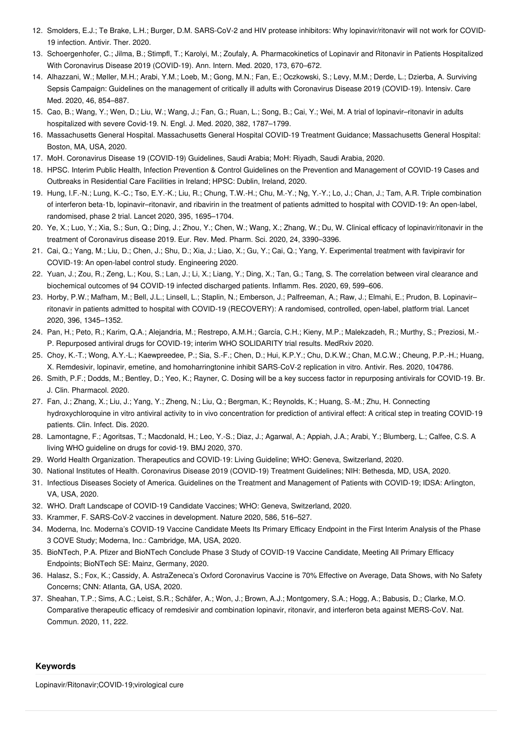- <span id="page-3-0"></span>12. Smolders, E.J.; Te Brake, L.H.; Burger, D.M. SARS-CoV-2 and HIV protease inhibitors: Why lopinavir/ritonavir will not work for COVID-19 infection. Antivir. Ther. 2020.
- <span id="page-3-1"></span>13. Schoergenhofer, C.; Jilma, B.; Stimpfl, T.; Karolyi, M.; Zoufaly, A. Pharmacokinetics of Lopinavir and Ritonavir in Patients Hospitalized With Coronavirus Disease 2019 (COVID-19). Ann. Intern. Med. 2020, 173, 670–672.
- <span id="page-3-2"></span>14. Alhazzani, W.; Møller, M.H.; Arabi, Y.M.; Loeb, M.; Gong, M.N.; Fan, E.; Oczkowski, S.; Levy, M.M.; Derde, L.; Dzierba, A. Surviving Sepsis Campaign: Guidelines on the management of critically ill adults with Coronavirus Disease 2019 (COVID-19). Intensiv. Care Med. 2020, 46, 854–887.
- <span id="page-3-3"></span>15. Cao, B.; Wang, Y.; Wen, D.; Liu, W.; Wang, J.; Fan, G.; Ruan, L.; Song, B.; Cai, Y.; Wei, M. A trial of lopinavir–ritonavir in adults hospitalized with severe Covid-19. N. Engl. J. Med. 2020, 382, 1787–1799.
- <span id="page-3-4"></span>16. Massachusetts General Hospital. Massachusetts General Hospital COVID-19 Treatment Guidance; Massachusetts General Hospital: Boston, MA, USA, 2020.
- <span id="page-3-5"></span>17. MoH. Coronavirus Disease 19 (COVID-19) Guidelines, Saudi Arabia; MoH: Riyadh, Saudi Arabia, 2020.
- <span id="page-3-6"></span>18. HPSC. Interim Public Health, Infection Prevention & Control Guidelines on the Prevention and Management of COVID-19 Cases and Outbreaks in Residential Care Facilities in Ireland; HPSC: Dublin, Ireland, 2020.
- <span id="page-3-7"></span>19. Hung, I.F.-N.; Lung, K.-C.; Tso, E.Y.-K.; Liu, R.; Chung, T.W.-H.; Chu, M.-Y.; Ng, Y.-Y.; Lo, J.; Chan, J.; Tam, A.R. Triple combination of interferon beta-1b, lopinavir–ritonavir, and ribavirin in the treatment of patients admitted to hospital with COVID-19: An open-label, randomised, phase 2 trial. Lancet 2020, 395, 1695–1704.
- <span id="page-3-8"></span>20. Ye, X.; Luo, Y.; Xia, S.; Sun, Q.; Ding, J.; Zhou, Y.; Chen, W.; Wang, X.; Zhang, W.; Du, W. Clinical efficacy of lopinavir/ritonavir in the treatment of Coronavirus disease 2019. Eur. Rev. Med. Pharm. Sci. 2020, 24, 3390–3396.
- <span id="page-3-9"></span>21. Cai, Q.; Yang, M.; Liu, D.; Chen, J.; Shu, D.; Xia, J.; Liao, X.; Gu, Y.; Cai, Q.; Yang, Y. Experimental treatment with favipiravir for COVID-19: An open-label control study. Engineering 2020.
- <span id="page-3-10"></span>22. Yuan, J.; Zou, R.; Zeng, L.; Kou, S.; Lan, J.; Li, X.; Liang, Y.; Ding, X.; Tan, G.; Tang, S. The correlation between viral clearance and biochemical outcomes of 94 COVID-19 infected discharged patients. Inflamm. Res. 2020, 69, 599–606.
- <span id="page-3-11"></span>23. Horby, P.W.; Mafham, M.; Bell, J.L.; Linsell, L.; Staplin, N.; Emberson, J.; Palfreeman, A.; Raw, J.; Elmahi, E.; Prudon, B. Lopinavir– ritonavir in patients admitted to hospital with COVID-19 (RECOVERY): A randomised, controlled, open-label, platform trial. Lancet 2020, 396, 1345–1352.
- <span id="page-3-12"></span>24. Pan, H.; Peto, R.; Karim, Q.A.; Alejandria, M.; Restrepo, A.M.H.; García, C.H.; Kieny, M.P.; Malekzadeh, R.; Murthy, S.; Preziosi, M.- P. Repurposed antiviral drugs for COVID-19; interim WHO SOLIDARITY trial results. MedRxiv 2020.
- <span id="page-3-13"></span>25. Choy, K.-T.; Wong, A.Y.-L.; Kaewpreedee, P.; Sia, S.-F.; Chen, D.; Hui, K.P.Y.; Chu, D.K.W.; Chan, M.C.W.; Cheung, P.P.-H.; Huang, X. Remdesivir, lopinavir, emetine, and homoharringtonine inhibit SARS-CoV-2 replication in vitro. Antivir. Res. 2020, 104786.
- <span id="page-3-14"></span>26. Smith, P.F.; Dodds, M.; Bentley, D.; Yeo, K.; Rayner, C. Dosing will be a key success factor in repurposing antivirals for COVID-19. Br. J. Clin. Pharmacol. 2020.
- <span id="page-3-15"></span>27. Fan, J.; Zhang, X.; Liu, J.; Yang, Y.; Zheng, N.; Liu, Q.; Bergman, K.; Reynolds, K.; Huang, S.-M.; Zhu, H. Connecting hydroxychloroquine in vitro antiviral activity to in vivo concentration for prediction of antiviral effect: A critical step in treating COVID-19 patients. Clin. Infect. Dis. 2020.
- <span id="page-3-16"></span>28. Lamontagne, F.; Agoritsas, T.; Macdonald, H.; Leo, Y.-S.; Diaz, J.; Agarwal, A.; Appiah, J.A.; Arabi, Y.; Blumberg, L.; Calfee, C.S. A living WHO guideline on drugs for covid-19. BMJ 2020, 370.
- <span id="page-3-17"></span>29. World Health Organization. Therapeutics and COVID-19: Living Guideline; WHO: Geneva, Switzerland, 2020.
- <span id="page-3-18"></span>30. National Institutes of Health. Coronavirus Disease 2019 (COVID-19) Treatment Guidelines; NIH: Bethesda, MD, USA, 2020.
- <span id="page-3-19"></span>31. Infectious Diseases Society of America. Guidelines on the Treatment and Management of Patients with COVID-19; IDSA: Arlington, VA, USA, 2020.
- <span id="page-3-20"></span>32. WHO. Draft Landscape of COVID-19 Candidate Vaccines; WHO: Geneva, Switzerland, 2020.
- <span id="page-3-21"></span>33. Krammer, F. SARS-CoV-2 vaccines in development. Nature 2020, 586, 516–527.
- <span id="page-3-22"></span>34. Moderna, Inc. Moderna's COVID-19 Vaccine Candidate Meets Its Primary Efficacy Endpoint in the First Interim Analysis of the Phase 3 COVE Study; Moderna, Inc.: Cambridge, MA, USA, 2020.
- <span id="page-3-23"></span>35. BioNTech, P.A. Pfizer and BioNTech Conclude Phase 3 Study of COVID-19 Vaccine Candidate, Meeting All Primary Efficacy Endpoints; BioNTech SE: Mainz, Germany, 2020.
- <span id="page-3-24"></span>36. Halasz, S.; Fox, K.; Cassidy, A. AstraZeneca's Oxford Coronavirus Vaccine is 70% Effective on Average, Data Shows, with No Safety Concerns; CNN: Atlanta, GA, USA, 2020.
- <span id="page-3-25"></span>37. Sheahan, T.P.; Sims, A.C.; Leist, S.R.; Schäfer, A.; Won, J.; Brown, A.J.; Montgomery, S.A.; Hogg, A.; Babusis, D.; Clarke, M.O. Comparative therapeutic efficacy of remdesivir and combination lopinavir, ritonavir, and interferon beta against MERS-CoV. Nat. Commun. 2020, 11, 222.

### **Keywords**

Lopinavir/Ritonavir;COVID-19;virological cure